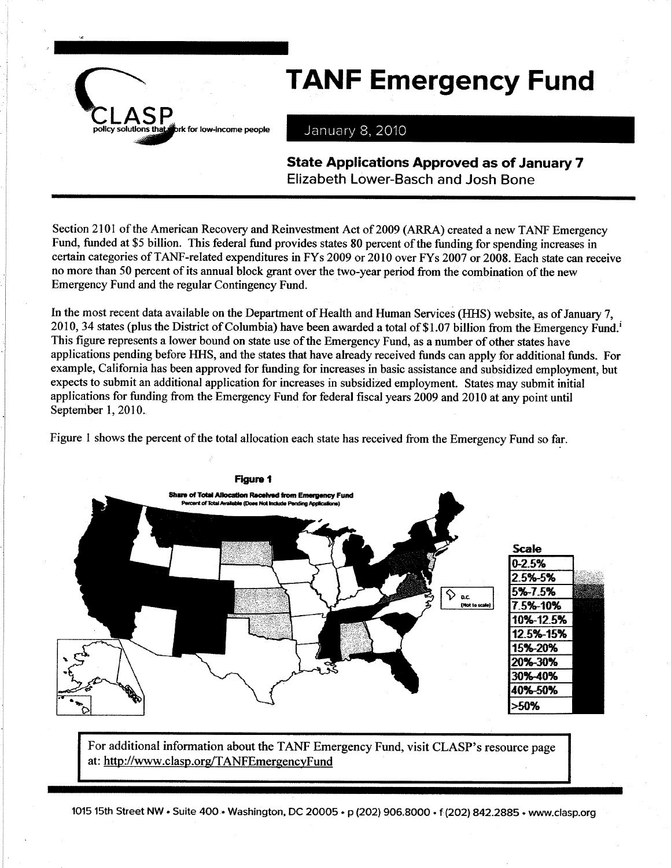

## **TANF Emergency Fund**

January 8, 2010

**State Applications Approved as of January 7 Elizabeth Lower-Basch and Josh Bone** 

Section 2101 of the American Recovery and Reinvestment Act of 2009 (ARRA) created a new TANF Emergency Fund, funded at \$5 billion. This federal fund provides states 80 percent of the funding for spending increases in certain categories of TANF-related expenditures in FYs 2009 or 2010 over FYs 2007 or 2008. Each state can receive no more than 50 percent of its annual block grant over the two-year period from the combination of the new Emergency Fund and the regular Contingency Fund.

In the most recent data available on the Department of Health and Human Services (HHS) website, as of January 7, 2010, 34 states (plus the District of Columbia) have been awarded a total of \$1.07 billion from the Emergency Fund.<sup>1</sup> This figure represents a lower bound on state use of the Emergency Fund, as a number of other states have applications pending before HHS, and the states that have already received funds can apply for additional funds. For example, California has been approved for funding for increases in basic assistance and subsidized employment, but expects to submit an additional application for increases in subsidized employment. States may submit initial applications for funding from the Emergency Fund for federal fiscal years 2009 and 2010 at any point until September 1, 2010.

Figure 1 shows the percent of the total allocation each state has received from the Emergency Fund so far.



For additional information about the TANF Emergency Fund, visit CLASP's resource page at: http://www.clasp.org/TANFEmergencyFund

1015 15th Street NW • Suite 400 • Washington, DC 20005 • p (202) 906.8000 • f (202) 842.2885 • www.clasp.org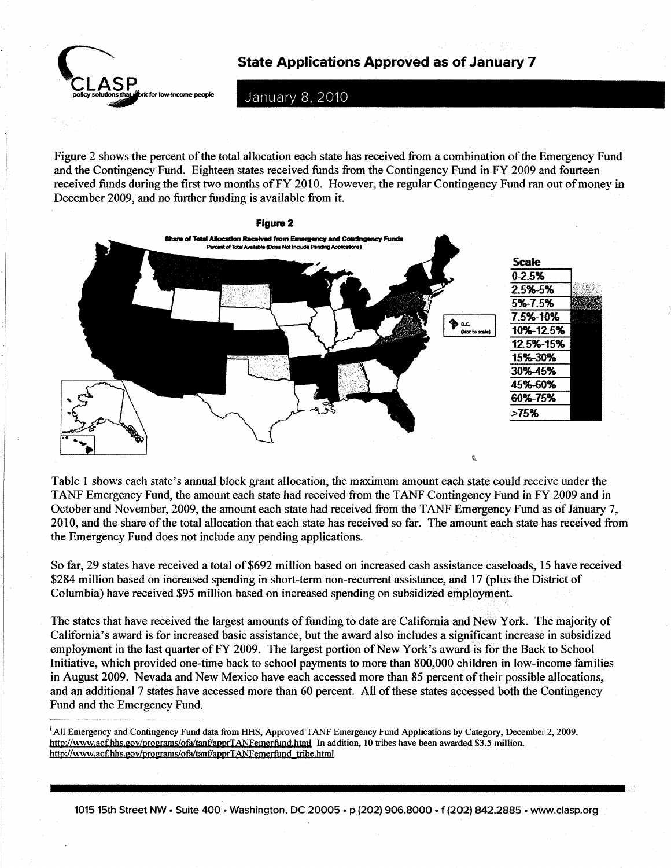State Applications Approved as of January 7



January 8, 2010

Figure 2 shows the percent of the total allocation each state has received from a combination of the Emergency Fund and the Contingency Fund. Eighteen states received funds from the Contingency Fund in FY 2009 and fourteen received funds during the first two months of FY 2010. However, the regular Contingency Fund ran out of money in December 2009, and no further funding is available from it.



Table I shows each state's annual block grant allocation, the maximum amount each state could receive under the TANF Emergency Fund, the amount each state had received from the TANF Contingency Fund in FY 2009 and in October and November,2009, the amount each state had received from the TANF Emergency Fund as of January 7, 2010, and the share of the total allocation that each state has received so far. The amount each state has received from the Emergency Fund does not include any pending applications.

So far, 29 states have received a total of \$692 million based on increased cash assistance caseloads, 15 have received \$284 million based on increased spending in short-term non-recurent assistance, and l7 (plus the District of Columbia) have received \$95 million based on increased spending on subsidized employmenf-

The states that have received the largest amounts of funding to date are California and New York. The majority of California's award is for increased basic assistance, but the award also includes a significant increase in subsidized employment in the last quarter of FY 2009. The largest portion of New York's award is for the Back to School lnitiative, which provided one-time back to school payments to more than 800,000 children in low-income families in August 2009. Nevada and New Mexico have each accessed more than 85 percent of their possible allocations, and an additional 7 states have accessed more than 60 percent. All of these states accessed both the Contingency Fund and the Emergency Fund.

1015 15th Street NW . Suite 400 . Washington, DC 20005 . p (202) 906.8000 . f (202) 842.2885 . www.clasp.org

<sup>&</sup>lt;sup>1</sup> All Emergency and Contingency Fund data from HHS, Approved TANF Emergency Fund Applications by Category, December 2, 2009. http://www.acf.hhs.gov/programs/ofa/tanf/apprTANFemerfund.html In addition, 10 tribes have been awarded \$3.5 million. http://www.acf.hhs.gov/programs/ofa/tanf/apprTANFemerfund\_tribe.html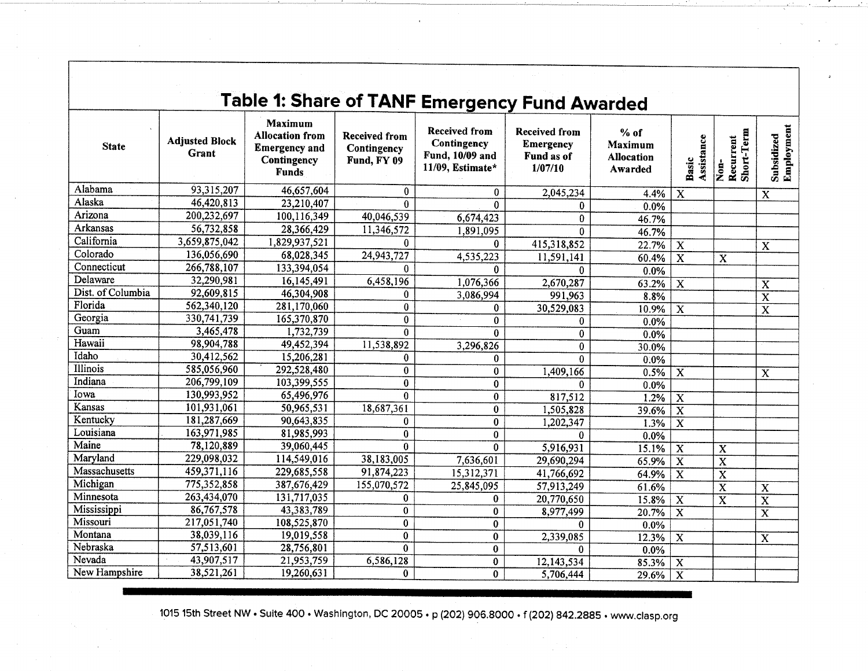| <b>Table 1: Share of TANF Emergency Fund Awarded</b> |                                |                                                                                                 |                                                    |                                                                            |                                                            |                                                   |                         |                                 |                          |  |  |
|------------------------------------------------------|--------------------------------|-------------------------------------------------------------------------------------------------|----------------------------------------------------|----------------------------------------------------------------------------|------------------------------------------------------------|---------------------------------------------------|-------------------------|---------------------------------|--------------------------|--|--|
| <b>State</b>                                         | <b>Adjusted Block</b><br>Grant | <b>Maximum</b><br><b>Allocation from</b><br><b>Emergency and</b><br>Contingency<br><b>Funds</b> | <b>Received from</b><br>Contingency<br>Fund, FY 09 | <b>Received from</b><br>Contingency<br>Fund, 10/09 and<br>11/09, Estimate* | Received from<br><b>Emergency</b><br>Fund as of<br>1/07/10 | $%$ of<br>Maximum<br><b>Allocation</b><br>Awarded | Assistance<br>Basic     | Non-<br>Recurrent<br>Short-Term | Subsidized<br>Employment |  |  |
| Alabama                                              | 93,315,207                     | 46,657,604                                                                                      | $\bf{0}$                                           | 0                                                                          | 2,045,234                                                  | 4.4%                                              | $\overline{\mathbf{x}}$ |                                 | $\overline{\mathbf{x}}$  |  |  |
| Alaska                                               | 46,420,813                     | 23,210,407                                                                                      | $\theta$                                           | $\mathbf{0}$                                                               | 0                                                          | 0.0%                                              |                         |                                 |                          |  |  |
| Arizona                                              | 200,232,697                    | 100,116,349                                                                                     | 40,046,539                                         | 6,674,423                                                                  | $\bf{0}$                                                   | 46.7%                                             |                         |                                 |                          |  |  |
| Arkansas                                             | 56,732,858                     | 28,366,429                                                                                      | 11,346,572                                         | 1.891.095                                                                  | 0                                                          | 46.7%                                             |                         |                                 |                          |  |  |
| California                                           | 3,659,875,042                  | 1,829,937,521                                                                                   | $\bf{0}$                                           | 0                                                                          | 415,318,852                                                | 22.7%                                             | $\overline{\mathbf{x}}$ |                                 | $\overline{\mathbf{X}}$  |  |  |
| Colorado                                             | 136,056,690                    | 68,028,345                                                                                      | 24,943,727                                         | 4,535,223                                                                  | 11,591,141                                                 | 60.4%                                             | $\overline{\mathbf{x}}$ | X                               |                          |  |  |
| Connecticut                                          | 266,788,107                    | 133,394,054                                                                                     | $\Omega$                                           | 0                                                                          | $\bf{0}$                                                   | 0.0%                                              |                         |                                 |                          |  |  |
| Delaware                                             | 32,290,981                     | 16,145,491                                                                                      | 6,458,196                                          | 1,076,366                                                                  | 2,670,287                                                  | 63.2%                                             | X                       |                                 | $\mathbf X$              |  |  |
| Dist. of Columbia                                    | 92,609,815                     | 46,304,908                                                                                      | $\bf{0}$                                           | 3,086,994                                                                  | 991,963                                                    | 8.8%                                              |                         |                                 | $\overline{\mathbf{x}}$  |  |  |
| Florida                                              | 562,340,120                    | 281,170,060                                                                                     | $\bf{0}$                                           | $\mathbf{0}$                                                               | 30,529,083                                                 | 10.9%                                             | $\overline{\mathbf{X}}$ |                                 | $\overline{\mathbf{X}}$  |  |  |
| Georgia                                              | 330,741,739                    | 165,370,870                                                                                     | $\bf{0}$                                           | $\mathbf{0}$                                                               | $\bf{0}$                                                   | $0.0\%$                                           |                         |                                 |                          |  |  |
| Guam                                                 | 3,465,478                      | 1,732,739                                                                                       | $\bf{0}$                                           | $\bf{0}$                                                                   | $\bf{0}$                                                   | 0.0%                                              |                         |                                 |                          |  |  |
| Hawaii                                               | 98,904,788                     | 49,452,394                                                                                      | 11,538,892                                         | 3,296,826                                                                  | $\bf{0}$                                                   | 30.0%                                             |                         |                                 |                          |  |  |
| Idaho                                                | 30,412,562                     | 15,206,281                                                                                      | $\bf{0}$                                           | $\theta$                                                                   | $\mathbf{0}$                                               | $0.0\%$                                           |                         |                                 |                          |  |  |
| Illinois                                             | 585,056,960                    | 292,528,480                                                                                     | $\bf{0}$                                           | $\bf{0}$                                                                   | 1,409,166                                                  | 0.5%                                              | $\overline{\mathbf{x}}$ |                                 | $\overline{\mathbf{x}}$  |  |  |
| Indiana                                              | 206,799,109                    | 103,399,555                                                                                     | $\bf{0}$                                           | $\bf{0}$                                                                   | $\bf{0}$                                                   | 0.0%                                              |                         |                                 |                          |  |  |
| Iowa                                                 | 130,993,952                    | 65,496,976                                                                                      | $\mathbf{0}$                                       | $\bf{0}$                                                                   | 817,512                                                    | 1.2%                                              | $\overline{\mathbf{X}}$ |                                 |                          |  |  |
| Kansas                                               | 101,931,061                    | 50,965,531                                                                                      | 18,687,361                                         | $\bf{0}$                                                                   | 1,505,828                                                  | 39.6%                                             | $\overline{\mathbf{x}}$ |                                 |                          |  |  |
| Kentucky                                             | 181,287,669                    | 90,643,835                                                                                      | 0                                                  | $\bf{0}$                                                                   | 1,202,347                                                  | 1.3%                                              | $\overline{\mathbf{x}}$ |                                 |                          |  |  |
| Louisiana                                            | 163,971,985                    | 81,985,993                                                                                      | $\bf{0}$                                           | $\mathbf{0}$                                                               | $\bf{0}$                                                   | $0.0\%$                                           |                         |                                 |                          |  |  |
| Maine                                                | 78,120,889                     | 39,060,445                                                                                      | $\Omega$                                           | $\Omega$                                                                   | 5,916,931                                                  | 15.1%                                             | $\overline{\mathbf{X}}$ | $\overline{\mathbf{X}}$         |                          |  |  |
| Maryland                                             | 229,098,032                    | 114,549,016                                                                                     | 38,183,005                                         | 7,636,601                                                                  | 29,690,294                                                 | 65.9%                                             | $\overline{\text{x}}$   | $\overline{\text{x}}$           |                          |  |  |
| Massachusetts                                        | 459,371,116                    | 229,685,558                                                                                     | 91,874,223                                         | 15,312,371                                                                 | 41,766,692                                                 | 64.9%                                             | X                       | $\overline{\text{x}}$           |                          |  |  |
| Michigan                                             | 775,352,858                    | 387,676,429                                                                                     | 155,070,572                                        | 25,845,095                                                                 | 57,913,249                                                 | 61.6%                                             |                         | $\overline{\text{x}}$           | $\dot{\mathbf{X}}$       |  |  |
| Minnesota                                            | 263,434,070                    | 131,717,035                                                                                     | 0                                                  | 0                                                                          | 20,770,650                                                 | 15.8%                                             | X                       | $\mathbf{\overline{X}}$         | $\mathbf x$              |  |  |
| Mississippi                                          | 86,767,578                     | 43,383,789                                                                                      | $\mathbf 0$                                        | $\bf{0}$                                                                   | 8,977,499                                                  | 20.7%                                             | $\mathbf{x}$            |                                 | $\overline{\mathbf{x}}$  |  |  |
| Missouri                                             | 217,051,740                    | 108,525,870                                                                                     | $\bf{0}$                                           | $\overline{0}$                                                             | $\bf{0}$                                                   | 0.0%                                              |                         |                                 |                          |  |  |
| Montana                                              | 38,039,116                     | 19,019,558                                                                                      | 0                                                  | $\bf{0}$                                                                   | 2,339,085                                                  | 12.3%                                             | $\overline{\mathbf{x}}$ |                                 | X                        |  |  |
| Nebraska                                             | 57,513,601                     | 28,756,801                                                                                      | $\mathbf{0}$                                       | $\bf{0}$                                                                   | $\Omega$                                                   | $0.0\%$                                           |                         |                                 |                          |  |  |
| Nevada                                               | 43,907,517                     | 21,953,759                                                                                      | 6,586,128                                          | $\bf{0}$                                                                   | 12,143,534                                                 | 85.3%                                             | $\overline{\mathbf{x}}$ |                                 |                          |  |  |
| New Hampshire                                        | 38,521,261                     | 19,260,631                                                                                      | 0                                                  | $\Omega$                                                                   | 5,706,444                                                  | 29.6%                                             | X                       |                                 |                          |  |  |

1015 15th Street NW • Suite 400 • Washington, DC 20005 • p (202) 906.8000 • f (202) 842.2885 • www.clasp.org